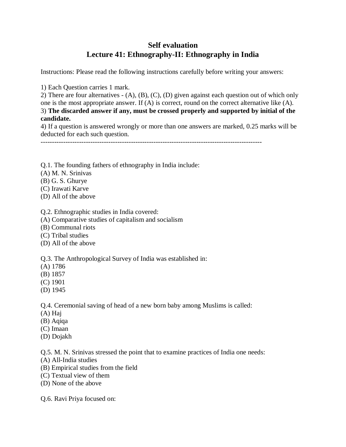## **Self evaluation Lecture 41: Ethnography-II: Ethnography in India**

Instructions: Please read the following instructions carefully before writing your answers:

1) Each Question carries 1 mark.

2) There are four alternatives - (A), (B), (C), (D) given against each question out of which only one is the most appropriate answer. If (A) is correct, round on the correct alternative like (A). 3) **The discarded answer if any, must be crossed properly and supported by initial of the candidate.**

4) If a question is answered wrongly or more than one answers are marked, 0.25 marks will be deducted for each such question.

--------------------------------------------------------------------------------------------------

Q.1. The founding fathers of ethnography in India include:

- (A) M. N. Srinivas
- (B) G. S. Ghurye
- (C) Irawati Karve
- (D) All of the above
- Q.2. Ethnographic studies in India covered:
- (A) Comparative studies of capitalism and socialism
- (B) Communal riots
- (C) Tribal studies
- (D) All of the above

Q.3. The Anthropological Survey of India was established in:

- (A) 1786
- (B) 1857
- (C) 1901
- (D) 1945

Q.4. Ceremonial saving of head of a new born baby among Muslims is called:

- (A) Haj
- (B) Aqiqa
- (C) Imaan
- (D) Dojakh

Q.5. M. N. Srinivas stressed the point that to examine practices of India one needs:

- (A) All-India studies
- (B) Empirical studies from the field
- (C) Textual view of them
- (D) None of the above

Q.6. Ravi Priya focused on: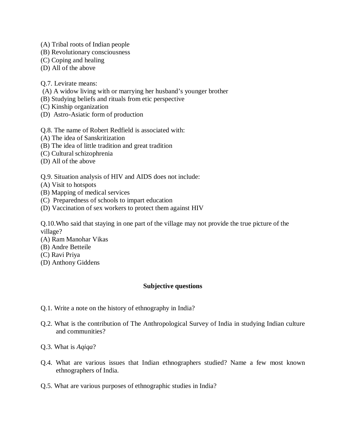- (A) Tribal roots of Indian people
- (B) Revolutionary consciousness
- (C) Coping and healing
- (D) All of the above

Q.7. Levirate means:

- (A) A widow living with or marrying her husband's younger brother
- (B) Studying beliefs and rituals from etic perspective
- (C) Kinship organization
- (D) Astro-Asiatic form of production

Q.8. The name of Robert Redfield is associated with:

- (A) The idea of Sanskritization
- (B) The idea of little tradition and great tradition
- (C) Cultural schizophrenia
- (D) All of the above

Q.9. Situation analysis of HIV and AIDS does not include:

- (A) Visit to hotspots
- (B) Mapping of medical services
- (C) Preparedness of schools to impart education
- (D) Vaccination of sex workers to protect them against HIV

Q.10.Who said that staying in one part of the village may not provide the true picture of the village?

- (A) Ram Manohar Vikas
- (B) Andre Betteile
- (C) Ravi Priya
- (D) Anthony Giddens

## **Subjective questions**

- Q.1. Write a note on the history of ethnography in India?
- Q.2. What is the contribution of The Anthropological Survey of India in studying Indian culture and communities?
- Q.3. What is *Aqiqa*?
- Q.4. What are various issues that Indian ethnographers studied? Name a few most known ethnographers of India.
- Q.5. What are various purposes of ethnographic studies in India?